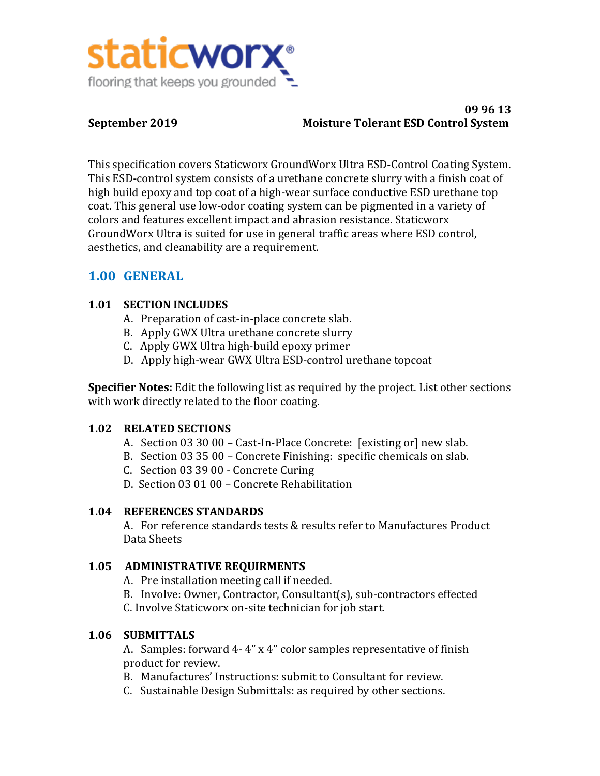

**09 96 13 September 2019 Moisture Tolerant ESD Control System** 

This specification covers Staticworx GroundWorx Ultra ESD-Control Coating System. This ESD-control system consists of a urethane concrete slurry with a finish coat of high build epoxy and top coat of a high-wear surface conductive ESD urethane top coat. This general use low-odor coating system can be pigmented in a variety of colors and features excellent impact and abrasion resistance. Staticworx GroundWorx Ultra is suited for use in general traffic areas where ESD control, aesthetics, and cleanability are a requirement.

# **1.00 GENERAL**

# **1.01 SECTION INCLUDES**

- A. Preparation of cast-in-place concrete slab.
- B. Apply GWX Ultra urethane concrete slurry
- C. Apply GWX Ultra high-build epoxy primer
- D. Apply high-wear GWX Ultra ESD-control urethane topcoat

**Specifier Notes:** Edit the following list as required by the project. List other sections with work directly related to the floor coating.

# **1.02 RELATED SECTIONS**

- A. Section 03 30 00 Cast-In-Place Concrete: [existing or] new slab.
- B. Section 03 35 00 Concrete Finishing: specific chemicals on slab.
- C. Section 03 39 00 Concrete Curing
- D. Section 03 01 00 Concrete Rehabilitation

# **1.04 REFERENCES STANDARDS**

A. For reference standards tests & results refer to Manufactures Product Data Sheets

#### **1.05 ADMINISTRATIVE REQUIRMENTS**

A. Pre installation meeting call if needed.

B. Involve: Owner, Contractor, Consultant(s), sub-contractors effected C. Involve Staticworx on-site technician for job start.

# **1.06 SUBMITTALS**

A. Samples: forward  $4-4$ " x  $4$ " color samples representative of finish product for review.

- B. Manufactures' Instructions: submit to Consultant for review.
- C. Sustainable Design Submittals: as required by other sections.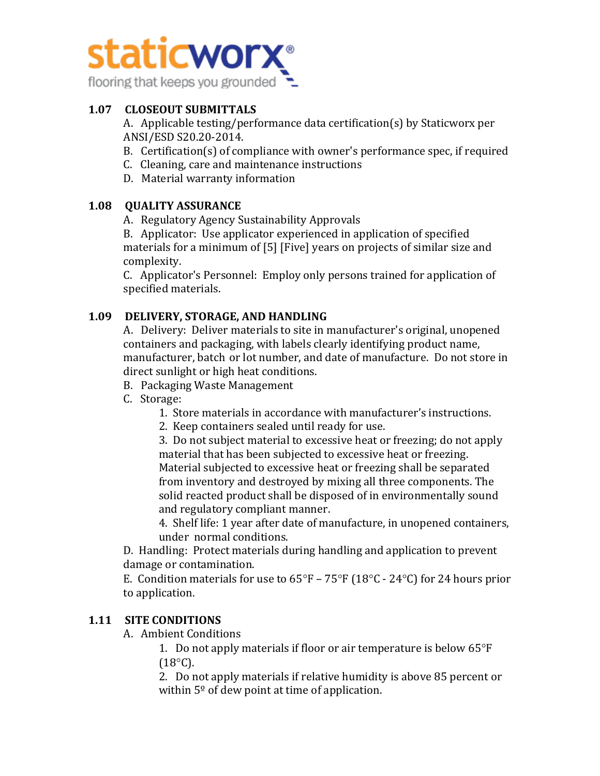

#### **1.07 CLOSEOUT SUBMITTALS**

A. Applicable testing/performance data certification(s) by Staticworx per ANSI/ESD S20.20-2014.

- B. Certification(s) of compliance with owner's performance spec, if required
- C. Cleaning, care and maintenance instructions
- D. Material warranty information

#### **1.08 QUALITY ASSURANCE**

A. Regulatory Agency Sustainability Approvals

B. Applicator: Use applicator experienced in application of specified materials for a minimum of  $[5]$  [Five] years on projects of similar size and complexity. 

C. Applicator's Personnel: Employ only persons trained for application of specified materials.

#### **1.09 DELIVERY, STORAGE, AND HANDLING**

A. Delivery: Deliver materials to site in manufacturer's original, unopened containers and packaging, with labels clearly identifying product name, manufacturer, batch or lot number, and date of manufacture. Do not store in direct sunlight or high heat conditions.

- B. Packaging Waste Management
- C. Storage:
	- 1. Store materials in accordance with manufacturer's instructions.
	- 2. Keep containers sealed until ready for use.

3. Do not subject material to excessive heat or freezing; do not apply material that has been subjected to excessive heat or freezing. Material subjected to excessive heat or freezing shall be separated from inventory and destroyed by mixing all three components. The solid reacted product shall be disposed of in environmentally sound and regulatory compliant manner.

4. Shelf life: 1 year after date of manufacture, in unopened containers, under normal conditions.

D. Handling: Protect materials during handling and application to prevent damage or contamination.

E. Condition materials for use to  $65^{\circ}F - 75^{\circ}F (18^{\circ}C - 24^{\circ}C)$  for 24 hours prior to application.

# **1.11 SITE CONDITIONS**

A. Ambient Conditions

1. Do not apply materials if floor or air temperature is below  $65^{\circ}F$  $(18^{\circ}C)$ .

2. Do not apply materials if relative humidity is above 85 percent or within  $5^{\circ}$  of dew point at time of application.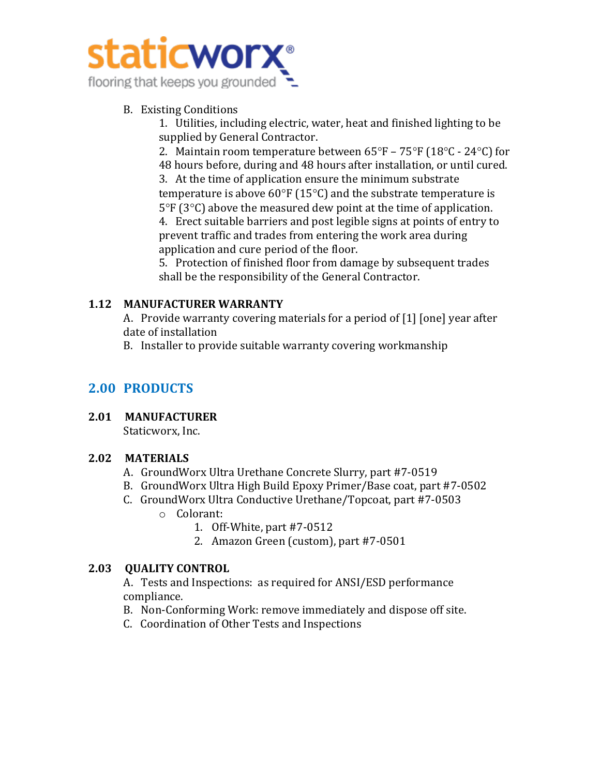

#### **B.** Existing Conditions

1. Utilities, including electric, water, heat and finished lighting to be supplied by General Contractor.

2. Maintain room temperature between  $65^{\circ}F - 75^{\circ}F$  (18°C - 24°C) for 48 hours before, during and 48 hours after installation, or until cured. 3. At the time of application ensure the minimum substrate

temperature is above  $60^{\circ}F(15^{\circ}C)$  and the substrate temperature is  $5^{\circ}F(3^{\circ}C)$  above the measured dew point at the time of application.

4. Erect suitable barriers and post legible signs at points of entry to prevent traffic and trades from entering the work area during application and cure period of the floor.

5. Protection of finished floor from damage by subsequent trades shall be the responsibility of the General Contractor.

#### **1.12 MANUFACTURER WARRANTY**

A. Provide warranty covering materials for a period of  $[1]$  [one] year after date of installation

B. Installer to provide suitable warranty covering workmanship

# **2.00 PRODUCTS**

# **2.01 MANUFACTURER**

Staticworx, Inc.

#### **2.02 MATERIALS**

- A. GroundWorx Ultra Urethane Concrete Slurry, part #7-0519
- B. GroundWorx Ultra High Build Epoxy Primer/Base coat, part #7-0502
- C. GroundWorx Ultra Conductive Urethane/Topcoat, part #7-0503
	- o Colorant:
		- 1. Off-White, part #7-0512
		- 2. Amazon Green (custom), part #7-0501

# **2.03 QUALITY CONTROL**

A. Tests and Inspections: as required for ANSI/ESD performance compliance.

- B. Non-Conforming Work: remove immediately and dispose off site.
- C. Coordination of Other Tests and Inspections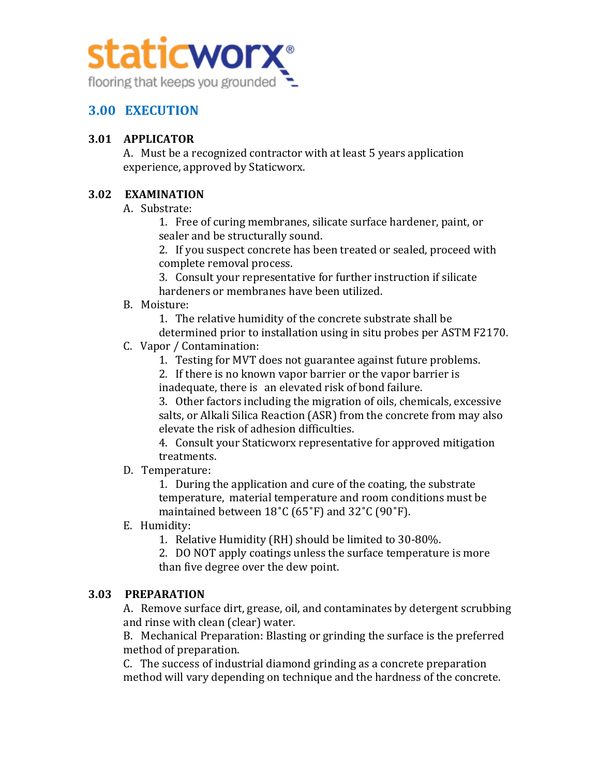

# **3.00 EXECUTION**

# **3.01 APPLICATOR**

A. Must be a recognized contractor with at least 5 years application experience, approved by Staticworx.

# **3.02 EXAMINATION**

- A. Substrate:
	- 1. Free of curing membranes, silicate surface hardener, paint, or sealer and be structurally sound.

2. If you suspect concrete has been treated or sealed, proceed with complete removal process.

- 3. Consult your representative for further instruction if silicate hardeners or membranes have been utilized.
- B. Moisture:
	- 1. The relative humidity of the concrete substrate shall be determined prior to installation using in situ probes per ASTM F2170.

# C. Vapor / Contamination:

- 1. Testing for MVT does not guarantee against future problems.
- 2. If there is no known vapor barrier or the vapor barrier is inadequate, there is an elevated risk of bond failure.

3. Other factors including the migration of oils, chemicals, excessive salts, or Alkali Silica Reaction (ASR) from the concrete from may also elevate the risk of adhesion difficulties.

4. Consult your Staticworx representative for approved mitigation treatments.

# D. Temperature:

1. During the application and cure of the coating, the substrate temperature, material temperature and room conditions must be maintained between  $18^{\circ}$ C (65 $^{\circ}$ F) and  $32^{\circ}$ C (90 $^{\circ}$ F).

# E. Humidity:

1. Relative Humidity (RH) should be limited to 30-80%.

2. DO NOT apply coatings unless the surface temperature is more than five degree over the dew point.

# **3.03 PREPARATION**

A. Remove surface dirt, grease, oil, and contaminates by detergent scrubbing and rinse with clean (clear) water.

B. Mechanical Preparation: Blasting or grinding the surface is the preferred method of preparation.

C. The success of industrial diamond grinding as a concrete preparation method will vary depending on technique and the hardness of the concrete.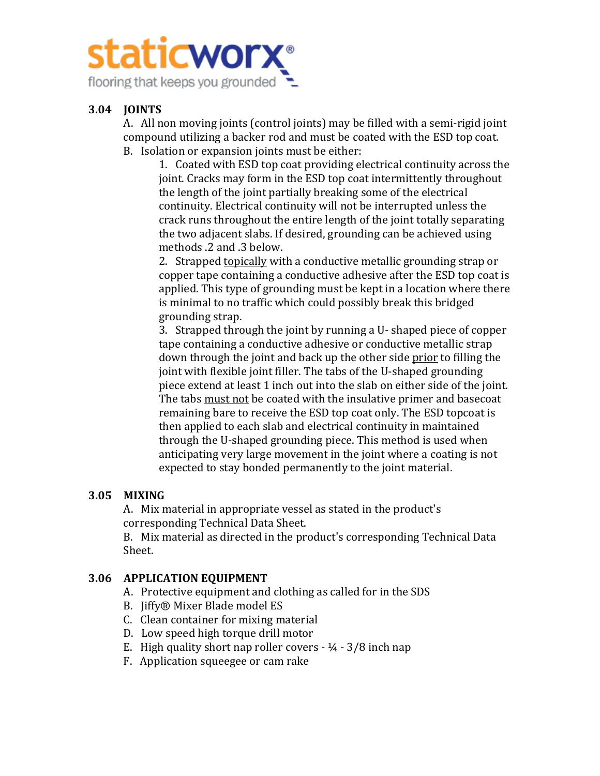

# **3.04 JOINTS**

A. All non moving joints (control joints) may be filled with a semi-rigid joint compound utilizing a backer rod and must be coated with the ESD top coat. B. Isolation or expansion joints must be either:

1. Coated with ESD top coat providing electrical continuity across the joint. Cracks may form in the ESD top coat intermittently throughout the length of the joint partially breaking some of the electrical continuity. Electrical continuity will not be interrupted unless the crack runs throughout the entire length of the joint totally separating the two adjacent slabs. If desired, grounding can be achieved using methods .2 and .3 below.

2. Strapped topically with a conductive metallic grounding strap or copper tape containing a conductive adhesive after the ESD top coat is applied. This type of grounding must be kept in a location where there is minimal to no traffic which could possibly break this bridged grounding strap.

3. Strapped through the joint by running a U- shaped piece of copper tape containing a conductive adhesive or conductive metallic strap down through the joint and back up the other side prior to filling the joint with flexible joint filler. The tabs of the U-shaped grounding piece extend at least 1 inch out into the slab on either side of the joint. The tabs must not be coated with the insulative primer and basecoat remaining bare to receive the ESD top coat only. The ESD topcoat is then applied to each slab and electrical continuity in maintained through the U-shaped grounding piece. This method is used when anticipating very large movement in the joint where a coating is not expected to stay bonded permanently to the joint material.

# **3.05 MIXING**

A. Mix material in appropriate vessel as stated in the product's corresponding Technical Data Sheet.

B. Mix material as directed in the product's corresponding Technical Data Sheet.

#### **3.06 APPLICATION EQUIPMENT**

- A. Protective equipment and clothing as called for in the SDS
- B. Jiffy® Mixer Blade model ES
- C. Clean container for mixing material
- D. Low speed high torque drill motor
- E. High quality short nap roller covers  $\frac{1}{4}$  3/8 inch nap
- F. Application squeegee or cam rake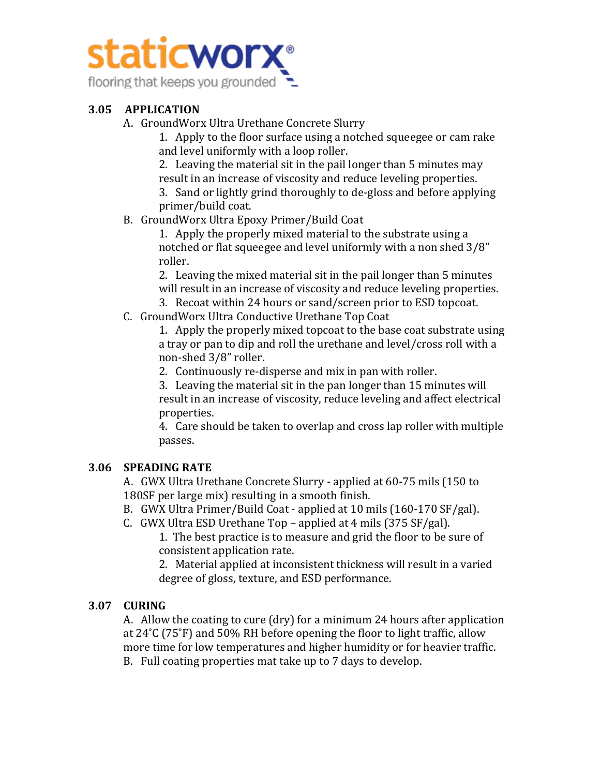

# **3.05 APPLICATION**

- A. GroundWorx Ultra Urethane Concrete Slurry
	- 1. Apply to the floor surface using a notched squeegee or cam rake and level uniformly with a loop roller.

2. Leaving the material sit in the pail longer than 5 minutes may result in an increase of viscosity and reduce leveling properties.

3. Sand or lightly grind thoroughly to de-gloss and before applying primer/build coat.

#### B. GroundWorx Ultra Epoxy Primer/Build Coat

1. Apply the properly mixed material to the substrate using a notched or flat squeegee and level uniformly with a non shed  $3/8$ " roller. 

2. Leaving the mixed material sit in the pail longer than 5 minutes will result in an increase of viscosity and reduce leveling properties.

- 3. Recoat within 24 hours or sand/screen prior to ESD topcoat.
- C. GroundWorx Ultra Conductive Urethane Top Coat

1. Apply the properly mixed topcoat to the base coat substrate using a tray or pan to dip and roll the urethane and level/cross roll with a non-shed  $3/8$ " roller.

2. Continuously re-disperse and mix in pan with roller.

3. Leaving the material sit in the pan longer than 15 minutes will result in an increase of viscosity, reduce leveling and affect electrical properties. 

4. Care should be taken to overlap and cross lap roller with multiple passes.

# **3.06 SPEADING RATE**

A. GWX Ultra Urethane Concrete Slurry - applied at 60-75 mils (150 to 180SF per large mix) resulting in a smooth finish.

B. GWX Ultra Primer/Build Coat - applied at 10 mils  $(160-170 \text{ SF/gal})$ .

C. GWX Ultra ESD Urethane Top – applied at  $4$  mils (375 SF/gal).

1. The best practice is to measure and grid the floor to be sure of consistent application rate.

2. Material applied at inconsistent thickness will result in a varied degree of gloss, texture, and ESD performance.

# **3.07 CURING**

A. Allow the coating to cure (dry) for a minimum 24 hours after application at  $24^{\circ}$ C (75 $^{\circ}$ F) and 50% RH before opening the floor to light traffic, allow more time for low temperatures and higher humidity or for heavier traffic. B. Full coating properties mat take up to 7 days to develop.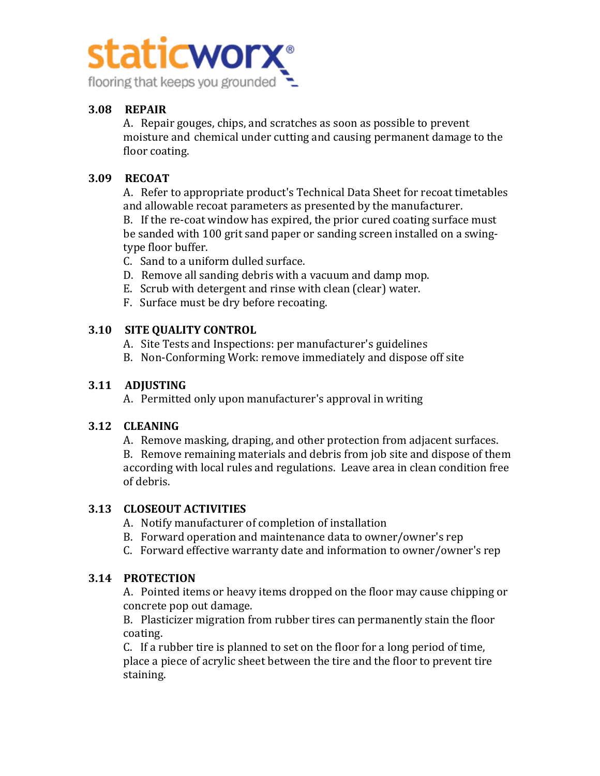

#### **3.08 REPAIR**

A. Repair gouges, chips, and scratches as soon as possible to prevent moisture and chemical under cutting and causing permanent damage to the floor coating.

#### **3.09 RECOAT**

A. Refer to appropriate product's Technical Data Sheet for recoat timetables and allowable recoat parameters as presented by the manufacturer.

B. If the re-coat window has expired, the prior cured coating surface must be sanded with 100 grit sand paper or sanding screen installed on a swingtype floor buffer.

- C. Sand to a uniform dulled surface.
- D. Remove all sanding debris with a vacuum and damp mop.
- E. Scrub with detergent and rinse with clean (clear) water.
- F. Surface must be dry before recoating.

#### **3.10 SITE QUALITY CONTROL**

- A. Site Tests and Inspections: per manufacturer's guidelines
- B. Non-Conforming Work: remove immediately and dispose off site

#### **3.11 ADJUSTING**

A. Permitted only upon manufacturer's approval in writing

#### **3.12 CLEANING**

A. Remove masking, draping, and other protection from adjacent surfaces.

B. Remove remaining materials and debris from job site and dispose of them according with local rules and regulations. Leave area in clean condition free of debris.

# **3.13 CLOSEOUT ACTIVITIES**

- A. Notify manufacturer of completion of installation
- B. Forward operation and maintenance data to owner/owner's rep
- C. Forward effective warranty date and information to owner/owner's rep

# **3.14 PROTECTION**

A. Pointed items or heavy items dropped on the floor may cause chipping or concrete pop out damage.

B. Plasticizer migration from rubber tires can permanently stain the floor coating.

C. If a rubber tire is planned to set on the floor for a long period of time, place a piece of acrylic sheet between the tire and the floor to prevent tire staining.